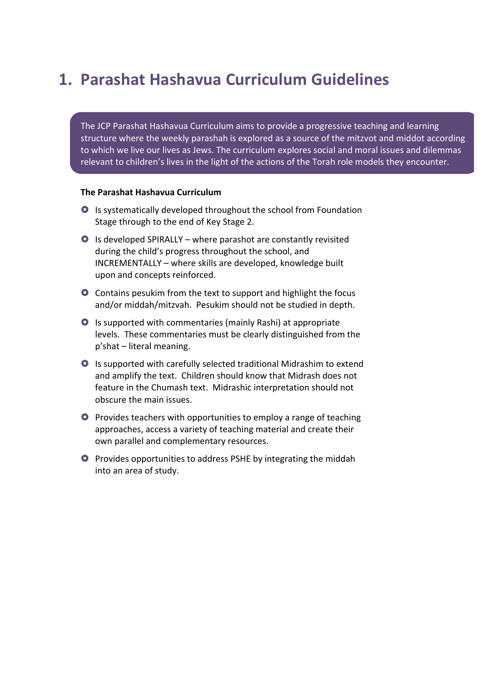### **1. Parashat Hashavua Curriculum Guidelines**

The JCP Parashat Hashavua Curriculum aims to provide a progressive teaching and learning structure where the weekly parashah is explored as a source of the mitzvot and middot according to which we live our lives as Jews. The curriculum explores social and moral issues and dilemmas relevant to children's lives in the light of the actions of the Torah role models they encounter.

#### **The Parashat Hashavua Curriculum**

- $\bullet$  Is systematically developed throughout the school from Foundation Stage through to the end of Key Stage 2.
- $\bullet$  Is developed SPIRALLY where parashot are constantly revisited during the child's progress throughout the school, and INCREMENTALLY – where skills are developed, knowledge built upon and concepts reinforced.
- **O** Contains pesukim from the text to support and highlight the focus and/or middah/mitzvah. Pesukim should not be studied in depth.
- **O** Is supported with commentaries (mainly Rashi) at appropriate levels. These commentaries must be clearly distinguished from the  $p'shat$  – literal meaning.
- **O** Is supported with carefully selected traditional Midrashim to extend and amplify the text. Children should know that Midrash does not feature in the Chumash text. Midrashic interpretation should not obscure the main issues.
- **O** Provides teachers with opportunities to employ a range of teaching approaches, access a variety of teaching material and create their own parallel and complementary resources.
- **O** Provides opportunities to address PSHE by integrating the middah into an area of study.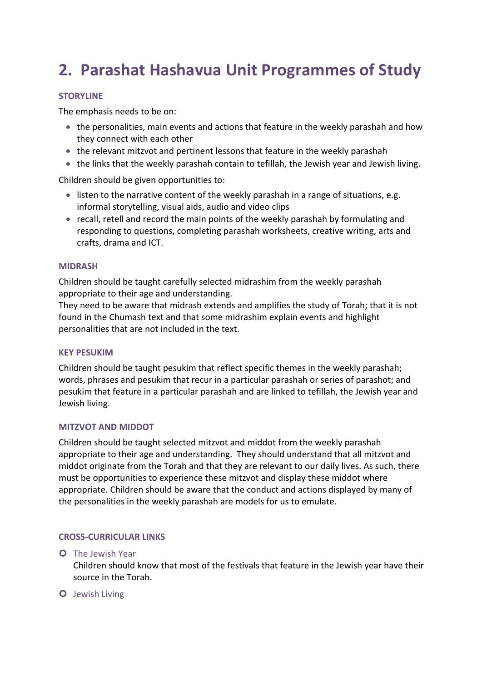## **2. Parashat Hashavua Unit Programmes of Study**

#### **STORYLINE**

The emphasis needs to be on:

- the personalities, main events and actions that feature in the weekly parashah and how they connect with each other
- $\bullet$  the relevant mitzvot and pertinent lessons that feature in the weekly parashah
- the links that the weekly parashah contain to tefillah, the Jewish year and Jewish living.

Children should be given opportunities to:

- listen to the narrative content of the weekly parashah in a range of situations, e.g. informal storytelling, visual aids, audio and video clips
- recall, retell and record the main points of the weekly parashah by formulating and responding to questions, completing parashah worksheets, creative writing, arts and crafts, drama and ICT.

#### **MIDRASH**

Children should be taught carefully selected midrashim from the weekly parashah appropriate to their age and understanding.

They need to be aware that midrash extends and amplifies the study of Torah; that it is not found in the Chumash text and that some midrashim explain events and highlight personalities that are not included in the text.

#### **KEY PESUKIM**

Children should be taught pesukim that reflect specific themes in the weekly parashah; words, phrases and pesukim that recur in a particular parashah or series of parashot; and pesukim that feature in a particular parashah and are linked to tefillah, the Jewish year and Jewish living.

#### **MITZVOT AND MIDDOT**

Children should be taught selected mitzvot and middot from the weekly parashah appropriate to their age and understanding. They should understand that all mitzvot and middot originate from the Torah and that they are relevant to our daily lives. As such, there must be opportunities to experience these mitzvot and display these middot where appropriate. Children should be aware that the conduct and actions displayed by many of the personalities in the weekly parashah are models for us to emulate.

#### **CROSS-CURRICULAR LINKS**

#### **O** The Jewish Year

Children should know that most of the festivals that feature in the Jewish year have their source in the Torah.

#### **O** Jewish Living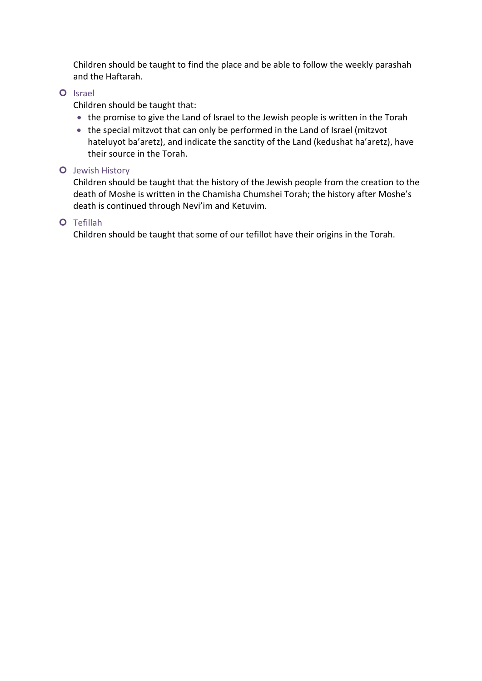Children should be taught to find the place and be able to follow the weekly parashah and the Haftarah.

#### **O** Israel

Children should be taught that:

- the promise to give the Land of Israel to the Jewish people is written in the Torah
- the special mitzvot that can only be performed in the Land of Israel (mitzvot hateluyot ba'aretz), and indicate the sanctity of the Land (kedushat ha'aretz), have their source in the Torah.

#### **O** Jewish History

Children should be taught that the history of the Jewish people from the creation to the death of Moshe is written in the Chamisha Chumshei Torah; the history after Moshe's death is continued through Nevi'im and Ketuvim.

#### ¢ Tefillah

Children should be taught that some of our tefillot have their origins in the Torah.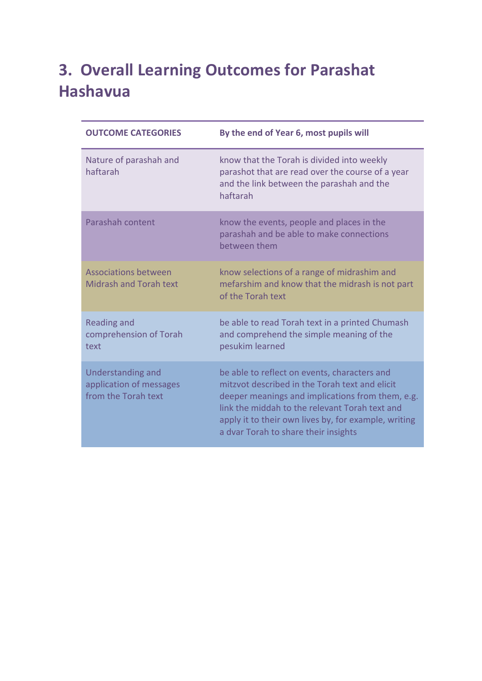## **3. Overall Learning Outcomes for Parashat Hashavua**

| <b>OUTCOME CATEGORIES</b>                                           | By the end of Year 6, most pupils will                                                                                                                                                                                                                                                               |
|---------------------------------------------------------------------|------------------------------------------------------------------------------------------------------------------------------------------------------------------------------------------------------------------------------------------------------------------------------------------------------|
| Nature of parashah and<br>haftarah                                  | know that the Torah is divided into weekly<br>parashot that are read over the course of a year<br>and the link between the parashah and the<br>haftarah                                                                                                                                              |
| Parashah content                                                    | know the events, people and places in the<br>parashah and be able to make connections<br>between them                                                                                                                                                                                                |
| <b>Associations between</b><br><b>Midrash and Torah text</b>        | know selections of a range of midrashim and<br>mefarshim and know that the midrash is not part<br>of the Torah text                                                                                                                                                                                  |
| <b>Reading and</b><br>comprehension of Torah<br>text                | be able to read Torah text in a printed Chumash<br>and comprehend the simple meaning of the<br>pesukim learned                                                                                                                                                                                       |
| Understanding and<br>application of messages<br>from the Torah text | be able to reflect on events, characters and<br>mitzvot described in the Torah text and elicit<br>deeper meanings and implications from them, e.g.<br>link the middah to the relevant Torah text and<br>apply it to their own lives by, for example, writing<br>a dvar Torah to share their insights |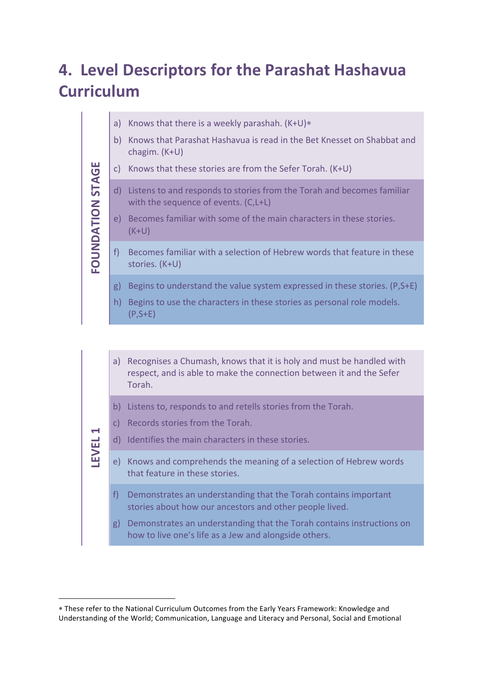## **4. Level Descriptors for the Parashat Hashavua Curriculum**

- a) Knows that there is a weekly parashah.  $(K+U)*$
- b) Knows that Parashat Hashavua is read in the Bet Knesset on Shabbat and chagim. (K+U)
- c) Knows that these stories are from the Sefer Torah.  $(K+U)$
- d) Listens to and responds to stories from the Torah and becomes familiar with the sequence of events. (C,L+L)
- e) Becomes familiar with some of the main characters in these stories. (K+U)
- f) Becomes familiar with a selection of Hebrew words that feature in these stories. (K+U)
- g) Begins to understand the value system expressed in these stories.  $(P, S+E)$
- h) Begins to use the characters in these stories as personal role models. (P,S+E)

a) Recognises a Chumash, knows that it is holy and must be handled with respect, and is able to make the connection between it and the Sefer Torah.

- b) Listens to, responds to and retells stories from the Torah.
- c) Records stories from the Torah.

**FOUNDATION STAGE**

**STAGE** 

**LEVEL 1**

 $\overline{a}$ 

- d) Identifies the main characters in these stories.
- e) Knows and comprehends the meaning of a selection of Hebrew words that feature in these stories.
	- f) Demonstrates an understanding that the Torah contains important stories about how our ancestors and other people lived.
	- g) Demonstrates an understanding that the Torah contains instructions on how to live one's life as a Jew and alongside others.

<sup>\*</sup> These refer to the National Curriculum Outcomes from the Early Years Framework: Knowledge and Understanding of the World; Communication, Language and Literacy and Personal, Social and Emotional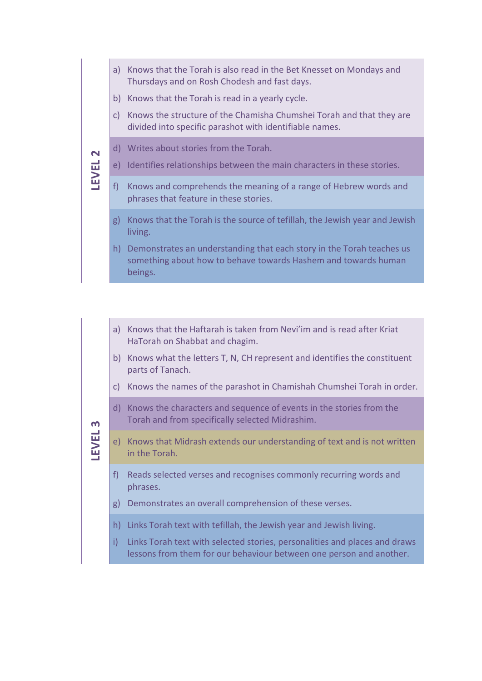- a) Knows that the Torah is also read in the Bet Knesset on Mondays and Thursdays and on Rosh Chodesh and fast days.
- b) Knows that the Torah is read in a yearly cycle.
- c) Knows the structure of the Chamisha Chumshei Torah and that they are divided into specific parashot with identifiable names.

# **LEVEL 2**

LEVEL<sub>3</sub>

- d) Writes about stories from the Torah.
- e) Identifies relationships between the main characters in these stories.
- f) Knows and comprehends the meaning of a range of Hebrew words and phrases that feature in these stories.
- g) Knows that the Torah is the source of tefillah, the Jewish year and Jewish living.
- h) Demonstrates an understanding that each story in the Torah teaches us something about how to behave towards Hashem and towards human beings.

#### a) Knows that the Haftarah is taken from Nevi'im and is read after Kriat HaTorah on Shabbat and chagim.

- b) Knows what the letters T, N, CH represent and identifies the constituent parts of Tanach.
- c) Knows the names of the parashot in Chamishah Chumshei Torah in order.
- d) Knows the characters and sequence of events in the stories from the Torah and from specifically selected Midrashim.
- e) Knows that Midrash extends our understanding of text and is not written in the Torah.
- f) Reads selected verses and recognises commonly recurring words and phrases.
- g) Demonstrates an overall comprehension of these verses.
- h) Links Torah text with tefillah, the Jewish year and Jewish living.
- i) Links Torah text with selected stories, personalities and places and draws lessons from them for our behaviour between one person and another.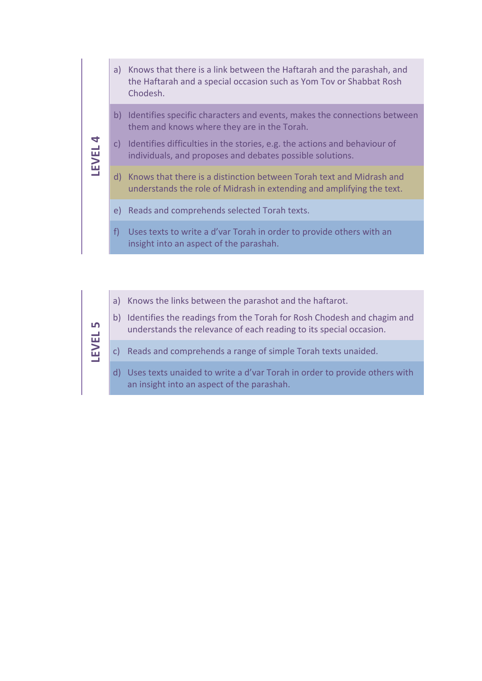- a) Knows that there is a link between the Haftarah and the parashah, and the Haftarah and a special occasion such as Yom Tov or Shabbat Rosh Chodesh.
- b) Identifies specific characters and events, makes the connections between them and knows where they are in the Torah.

#### c) Identifies difficulties in the stories, e.g. the actions and behaviour of individuals, and proposes and debates possible solutions.

- d) Knows that there is a distinction between Torah text and Midrash and understands the role of Midrash in extending and amplifying the text.
- e) Reads and comprehends selected Torah texts.

**LEVEL 4**

**LEVEL 5**

- f) Uses texts to write a d'var Torah in order to provide others with an insight into an aspect of the parashah.
- a) Knows the links between the parashot and the haftarot.
- b) Identifies the readings from the Torah for Rosh Chodesh and chagim and understands the relevance of each reading to its special occasion.

#### c) Reads and comprehends a range of simple Torah texts unaided.

d) Uses texts unaided to write a d'var Torah in order to provide others with an insight into an aspect of the parashah.